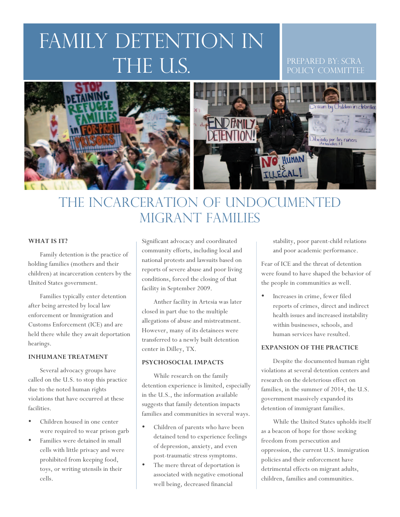# FAMILY DETENTION IN the U.S.

#### Prepared by: SCRA POLICY COMMITTEE



### The incarceration of Undocumented Migrant families

#### **WHAT IS IT?**

Family detention is the practice of holding families (mothers and their children) at incarceration centers by the United States government.

Families typically enter detention after being arrested by local law enforcement or Immigration and Customs Enforcement (ICE) and are held there while they await deportation hearings.

#### **INHUMANE TREATMENT**

Several advocacy groups have called on the U.S. to stop this practice due to the noted human rights violations that have occurred at these facilities.

- Children housed in one center were required to wear prison garb
- Families were detained in small cells with little privacy and were prohibited from keeping food, toys, or writing utensils in their cells.

Significant advocacy and coordinated community efforts, including local and national protests and lawsuits based on reports of severe abuse and poor living conditions, forced the closing of that facility in September 2009.

Anther facility in Artesia was later closed in part due to the multiple allegations of abuse and mistreatment. However, many of its detainees were transferred to a newly built detention center in Dilley, TX.

#### **PSYCHOSOCIAL IMPACTS**

While research on the family detention experience is limited, especially in the U.S., the information available suggests that family detention impacts families and communities in several ways.

- Children of parents who have been detained tend to experience feelings of depression, anxiety, and even post-traumatic stress symptoms.
- The mere threat of deportation is associated with negative emotional well being, decreased financial

stability, poor parent-child relations and poor academic performance.

Fear of ICE and the threat of detention were found to have shaped the behavior of the people in communities as well.

Increases in crime, fewer filed reports of crimes, direct and indirect health issues and increased instability within businesses, schools, and human services have resulted.

#### **EXPANSION OF THE PRACTICE**

Despite the documented human right violations at several detention centers and research on the deleterious effect on families, in the summer of 2014, the U.S. government massively expanded its detention of immigrant families.

While the United States upholds itself as a beacon of hope for those seeking freedom from persecution and oppression, the current U.S. immigration policies and their enforcement have detrimental effects on migrant adults, children, families and communities.